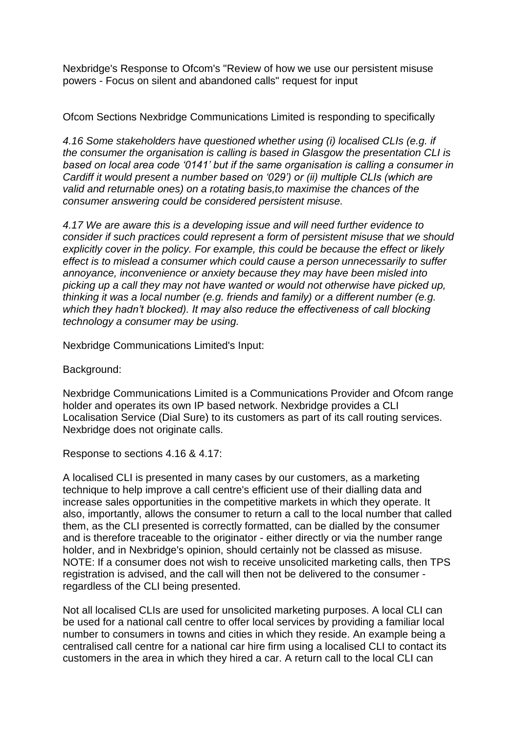Nexbridge's Response to Ofcom's "Review of how we use our persistent misuse powers - Focus on silent and abandoned calls" request for input

Ofcom Sections Nexbridge Communications Limited is responding to specifically

*4.16 Some stakeholders have questioned whether using (i) localised CLIs (e.g. if the consumer the organisation is calling is based in Glasgow the presentation CLI is based on local area code ʻ0141' but if the same organisation is calling a consumer in Cardiff it would present a number based on ʻ029') or (ii) multiple CLIs (which are valid and returnable ones) on a rotating basis,to maximise the chances of the consumer answering could be considered persistent misuse.*

*4.17 We are aware this is a developing issue and will need further evidence to consider if such practices could represent a form of persistent misuse that we should explicitly cover in the policy. For example, this could be because the effect or likely effect is to mislead a consumer which could cause a person unnecessarily to suffer annoyance, inconvenience or anxiety because they may have been misled into picking up a call they may not have wanted or would not otherwise have picked up, thinking it was a local number (e.g. friends and family) or a different number (e.g. which they hadn't blocked). It may also reduce the effectiveness of call blocking technology a consumer may be using.*

Nexbridge Communications Limited's Input:

Background:

Nexbridge Communications Limited is a Communications Provider and Ofcom range holder and operates its own IP based network. Nexbridge provides a CLI Localisation Service (Dial Sure) to its customers as part of its call routing services. Nexbridge does not originate calls.

Response to sections 4.16 & 4.17:

A localised CLI is presented in many cases by our customers, as a marketing technique to help improve a call centre's efficient use of their dialling data and increase sales opportunities in the competitive markets in which they operate. It also, importantly, allows the consumer to return a call to the local number that called them, as the CLI presented is correctly formatted, can be dialled by the consumer and is therefore traceable to the originator - either directly or via the number range holder, and in Nexbridge's opinion, should certainly not be classed as misuse. NOTE: If a consumer does not wish to receive unsolicited marketing calls, then TPS registration is advised, and the call will then not be delivered to the consumer regardless of the CLI being presented.

Not all localised CLIs are used for unsolicited marketing purposes. A local CLI can be used for a national call centre to offer local services by providing a familiar local number to consumers in towns and cities in which they reside. An example being a centralised call centre for a national car hire firm using a localised CLI to contact its customers in the area in which they hired a car. A return call to the local CLI can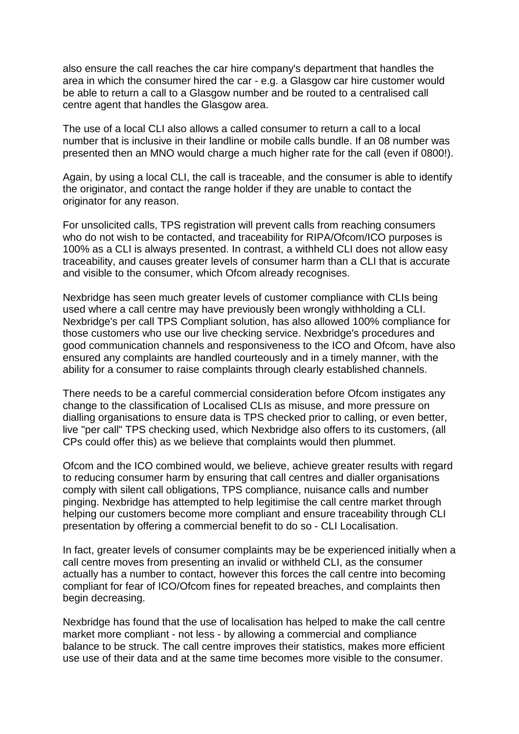also ensure the call reaches the car hire company's department that handles the area in which the consumer hired the car - e.g. a Glasgow car hire customer would be able to return a call to a Glasgow number and be routed to a centralised call centre agent that handles the Glasgow area.

The use of a local CLI also allows a called consumer to return a call to a local number that is inclusive in their landline or mobile calls bundle. If an 08 number was presented then an MNO would charge a much higher rate for the call (even if 0800!).

Again, by using a local CLI, the call is traceable, and the consumer is able to identify the originator, and contact the range holder if they are unable to contact the originator for any reason.

For unsolicited calls, TPS registration will prevent calls from reaching consumers who do not wish to be contacted, and traceability for RIPA/Ofcom/ICO purposes is 100% as a CLI is always presented. In contrast, a withheld CLI does not allow easy traceability, and causes greater levels of consumer harm than a CLI that is accurate and visible to the consumer, which Ofcom already recognises.

Nexbridge has seen much greater levels of customer compliance with CLIs being used where a call centre may have previously been wrongly withholding a CLI. Nexbridge's per call TPS Compliant solution, has also allowed 100% compliance for those customers who use our live checking service. Nexbridge's procedures and good communication channels and responsiveness to the ICO and Ofcom, have also ensured any complaints are handled courteously and in a timely manner, with the ability for a consumer to raise complaints through clearly established channels.

There needs to be a careful commercial consideration before Ofcom instigates any change to the classification of Localised CLIs as misuse, and more pressure on dialling organisations to ensure data is TPS checked prior to calling, or even better, live "per call" TPS checking used, which Nexbridge also offers to its customers, (all CPs could offer this) as we believe that complaints would then plummet.

Ofcom and the ICO combined would, we believe, achieve greater results with regard to reducing consumer harm by ensuring that call centres and dialler organisations comply with silent call obligations, TPS compliance, nuisance calls and number pinging. Nexbridge has attempted to help legitimise the call centre market through helping our customers become more compliant and ensure traceability through CLI presentation by offering a commercial benefit to do so - CLI Localisation.

In fact, greater levels of consumer complaints may be be experienced initially when a call centre moves from presenting an invalid or withheld CLI, as the consumer actually has a number to contact, however this forces the call centre into becoming compliant for fear of ICO/Ofcom fines for repeated breaches, and complaints then begin decreasing.

Nexbridge has found that the use of localisation has helped to make the call centre market more compliant - not less - by allowing a commercial and compliance balance to be struck. The call centre improves their statistics, makes more efficient use use of their data and at the same time becomes more visible to the consumer.